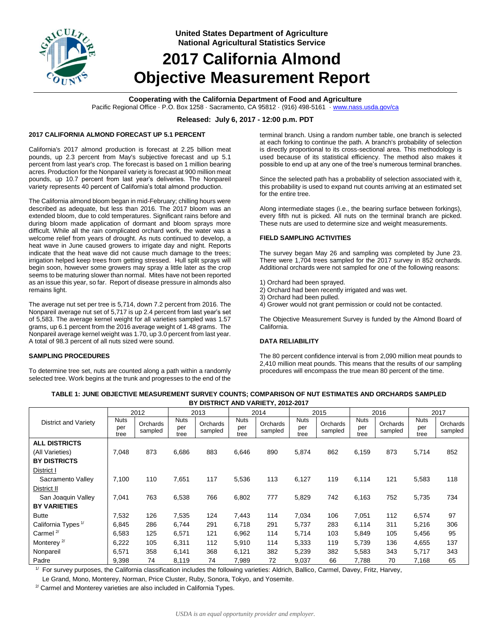

**United States Department of Agriculture National Agricultural Statistics Service**

# **2017 California Almond Objective Measurement Report**

# **Cooperating with the California Department of Food and Agriculture**

Pacific Regional Office · P.O. Box 1258 · Sacramento, CA 95812 · (916) 498-5161 [· www.nass.usda.gov/ca](http://www.nass.usda.gov/ca)

## **Released: July 6, 2017 - 12:00 p.m. PDT**

## **2017 CALIFORNIA ALMOND FORECAST UP 5.1 PERCENT**

California's 2017 almond production is forecast at 2.25 billion meat pounds, up 2.3 percent from May's subjective forecast and up 5.1 percent from last year's crop. The forecast is based on 1 million bearing acres. Production for the Nonpareil variety is forecast at 900 million meat pounds, up 10.7 percent from last year's deliveries. The Nonpareil variety represents 40 percent of California's total almond production.

The California almond bloom began in mid-February; chilling hours were described as adequate, but less than 2016. The 2017 bloom was an extended bloom, due to cold temperatures. Significant rains before and during bloom made application of dormant and bloom sprays more difficult. While all the rain complicated orchard work, the water was a welcome relief from years of drought. As nuts continued to develop, a heat wave in June caused growers to irrigate day and night. Reports indicate that the heat wave did not cause much damage to the trees; irrigation helped keep trees from getting stressed. Hull split sprays will begin soon, however some growers may spray a little later as the crop seems to be maturing slower than normal. Mites have not been reported as an issue this year, so far. Report of disease pressure in almonds also remains light.

The average nut set per tree is 5,714, down 7.2 percent from 2016. The Nonpareil average nut set of 5,717 is up 2.4 percent from last year's set of 5,583. The average kernel weight for all varieties sampled was 1.57 grams, up 6.1 percent from the 2016 average weight of 1.48 grams. The Nonpareil average kernel weight was 1.70, up 3.0 percent from last year. A total of 98.3 percent of all nuts sized were sound.

## **SAMPLING PROCEDURES**

To determine tree set, nuts are counted along a path within a randomly selected tree. Work begins at the trunk and progresses to the end of the terminal branch. Using a random number table, one branch is selected at each forking to continue the path. A branch's probability of selection is directly proportional to its cross-sectional area. This methodology is used because of its statistical efficiency. The method also makes it possible to end up at any one of the tree's numerous terminal branches.

Since the selected path has a probability of selection associated with it, this probability is used to expand nut counts arriving at an estimated set for the entire tree.

Along intermediate stages (i.e., the bearing surface between forkings), every fifth nut is picked. All nuts on the terminal branch are picked. These nuts are used to determine size and weight measurements.

#### **FIELD SAMPLING ACTIVITIES**

The survey began May 26 and sampling was completed by June 23. There were 1,704 trees sampled for the 2017 survey in 852 orchards. Additional orchards were not sampled for one of the following reasons:

- 1) Orchard had been sprayed.
- 2) Orchard had been recently irrigated and was wet.
- 3) Orchard had been pulled.
- 4) Grower would not grant permission or could not be contacted.

The Objective Measurement Survey is funded by the Almond Board of California.

#### **DATA RELIABILITY**

The 80 percent confidence interval is from 2,090 million meat pounds to 2,410 million meat pounds. This means that the results of our sampling procedures will encompass the true mean 80 percent of the time.

|                                                                                                                                                      |                            | 2012                |                            | 2013                |                            | 2014                |                            | 2015                |                            | 2016                |                     | 2017                |  |
|------------------------------------------------------------------------------------------------------------------------------------------------------|----------------------------|---------------------|----------------------------|---------------------|----------------------------|---------------------|----------------------------|---------------------|----------------------------|---------------------|---------------------|---------------------|--|
| District and Variety                                                                                                                                 | <b>Nuts</b><br>per<br>tree | Orchards<br>sampled | <b>Nuts</b><br>per<br>tree | Orchards<br>sampled | <b>Nuts</b><br>per<br>tree | Orchards<br>sampled | <b>Nuts</b><br>per<br>tree | Orchards<br>sampled | <b>Nuts</b><br>per<br>tree | Orchards<br>sampled | Nuts<br>per<br>tree | Orchards<br>sampled |  |
| <b>ALL DISTRICTS</b>                                                                                                                                 |                            |                     |                            |                     |                            |                     |                            |                     |                            |                     |                     |                     |  |
| (All Varieties)                                                                                                                                      | 7,048                      | 873                 | 6,686                      | 883                 | 6,646                      | 890                 | 5,874                      | 862                 | 6,159                      | 873                 | 5,714               | 852                 |  |
| <b>BY DISTRICTS</b>                                                                                                                                  |                            |                     |                            |                     |                            |                     |                            |                     |                            |                     |                     |                     |  |
| District I                                                                                                                                           |                            |                     |                            |                     |                            |                     |                            |                     |                            |                     |                     |                     |  |
| Sacramento Valley                                                                                                                                    | 7,100                      | 110                 | 7,651                      | 117                 | 5,536                      | 113                 | 6,127                      | 119                 | 6,114                      | 121                 | 5,583               | 118                 |  |
| District II                                                                                                                                          |                            |                     |                            |                     |                            |                     |                            |                     |                            |                     |                     |                     |  |
| San Joaquin Valley                                                                                                                                   | 7,041                      | 763                 | 6,538                      | 766                 | 6,802                      | 777                 | 5,829                      | 742                 | 6,163                      | 752                 | 5,735               | 734                 |  |
| <b>BY VARIETIES</b>                                                                                                                                  |                            |                     |                            |                     |                            |                     |                            |                     |                            |                     |                     |                     |  |
| <b>Butte</b>                                                                                                                                         | 7,532                      | 126                 | 7,535                      | 124                 | 7,443                      | 114                 | 7,034                      | 106                 | 7,051                      | 112                 | 6,574               | 97                  |  |
| California Types <sup>1/</sup>                                                                                                                       | 6,845                      | 286                 | 6.744                      | 291                 | 6,718                      | 291                 | 5,737                      | 283                 | 6,114                      | 311                 | 5,216               | 306                 |  |
| Carmel <sup>2/</sup>                                                                                                                                 | 6,583                      | 125                 | 6,571                      | 121                 | 6,962                      | 114                 | 5,714                      | 103                 | 5,849                      | 105                 | 5,456               | 95                  |  |
| Monterey <sup>2/</sup>                                                                                                                               | 6,222                      | 105                 | 6,311                      | 112                 | 5,910                      | 114                 | 5,333                      | 119                 | 5,739                      | 136                 | 4,655               | 137                 |  |
| Nonpareil                                                                                                                                            | 6,571                      | 358                 | 6,141                      | 368                 | 6,121                      | 382                 | 5,239                      | 382                 | 5,583                      | 343                 | 5,717               | 343                 |  |
| Padre                                                                                                                                                | 9,398                      | 74                  | 8,119                      | 74                  | 7,989                      | 72                  | 9,037                      | 66                  | 7,788                      | 70                  | 7,168               | 65                  |  |
| $^{\prime\prime}$ For survey purposes the California classification includes the following varieties: Aldrich Rallico, Carmel, Davey, Fritz, Harvey, |                            |                     |                            |                     |                            |                     |                            |                     |                            |                     |                     |                     |  |

**TABLE 1: JUNE OBJECTIVE MEASUREMENT SURVEY COUNTS; COMPARISON OF NUT ESTIMATES AND ORCHARDS SAMPLED BY DISTRICT AND VARIETY, 2012-2017**

For survey purposes, the California classification includes the following varieties: Aldrich, Ballico, Carmel, Davey, Fritz, Harvey,

Le Grand, Mono, Monterey, Norman, Price Cluster, Ruby, Sonora, Tokyo, and Yosemite.

 $2^{2}$  Carmel and Monterey varieties are also included in California Types.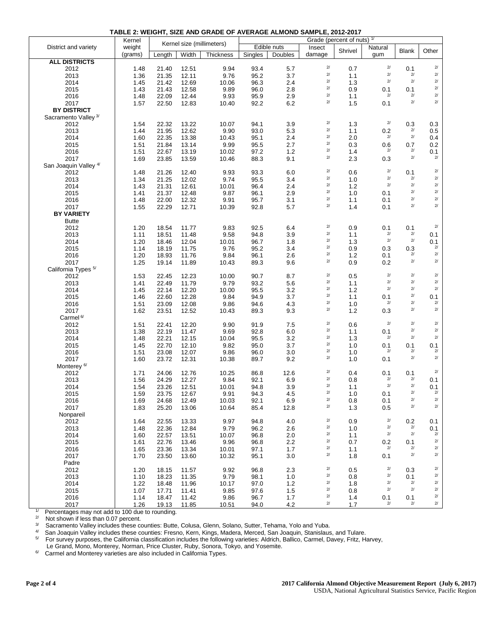|                                  | Kernel       |        | Kernel size (millimeters) |                  |              |             |                    | Grade (percent of nuts) | 1/        |              |                            |
|----------------------------------|--------------|--------|---------------------------|------------------|--------------|-------------|--------------------|-------------------------|-----------|--------------|----------------------------|
| District and variety             | weight       |        |                           |                  |              | Edible nuts | Insect             | Shrivel                 | Natural   | <b>Blank</b> | Other                      |
|                                  | (grams)      | Length | Width                     | <b>Thickness</b> | Singles      | Doubles     | damage             |                         | gum       |              |                            |
| <b>ALL DISTRICTS</b>             |              |        |                           |                  |              |             |                    |                         |           |              |                            |
| 2012                             | 1.48         | 21.40  | 12.51                     | 9.94             | 93.4         | 5.7         | $2/$               | 0.7                     | $2\prime$ | 0.1          | $2\prime$                  |
| 2013                             | 1.36         | 21.35  | 12.11                     | 9.76             | 95.2         | 3.7         | $2\prime$          | 1.1                     | $2\prime$ | 2/           | $2\prime$                  |
| 2014                             | 1.45         | 21.42  | 12.69                     | 10.06            | 96.3         | 2.4         | $2/$               | 1.3                     | $2/$      | 2/           | $2\prime$                  |
| 2015                             | 1.43         | 21.43  | 12.58                     | 9.89             | 96.0         | 2.8         | $2\prime$          | 0.9                     | 0.1       | 0.1          | $2\prime$                  |
| 2016                             | 1.48         | 22.09  | 12.44                     | 9.93             | 95.9         | 2.9         | $2\prime$          | 1.1                     | $2^{j}$   | $2/$         | $2/$                       |
| 2017                             | 1.57         | 22.50  | 12.83                     | 10.40            | 92.2         | 6.2         | $2\prime$          | 1.5                     | 0.1       | $2/$         | $2\prime$                  |
| <b>BY DISTRICT</b>               |              |        |                           |                  |              |             |                    |                         |           |              |                            |
| Sacramento Valley <sup>3/</sup>  |              |        |                           |                  |              |             |                    |                         |           |              |                            |
| 2012                             | 1.54         | 22.32  | 13.22                     | 10.07            | 94.1         | 3.9         | $2\prime$          | 1.3                     | $2\prime$ | 0.3          | 0.3                        |
| 2013                             | 1.44         | 21.95  | 12.62                     | 9.90             | 93.0         | 5.3         | $2/$               | 1.1                     | 0.2       | 2/           | 0.5                        |
| 2014                             | 1.60         | 22.35  | 13.38                     | 10.43            | 95.1         | $2.4\,$     | $2/$               | 2.0                     | $2\prime$ | 2/           | 0.4                        |
| 2015                             | 1.51         | 21.84  | 13.14                     | 9.99             | 95.5         | 2.7         | $2\prime$          | 0.3                     | 0.6       | 0.7          | 0.2                        |
| 2016                             | 1.51         | 22.67  | 13.19                     | 10.02            | 97.2         | 1.2         | $2\prime$          | 1.4                     | $2^{j}$   | 2/           | $0.1\atop{\scriptstyle2/}$ |
| 2017                             | 1.69         | 23.85  | 13.59                     | 10.46            | 88.3         | 9.1         | $2\prime$          | 2.3                     | 0.3       | $2/$         |                            |
| San Joaquin Valley <sup>4/</sup> |              |        |                           |                  |              |             |                    |                         |           |              |                            |
| 2012                             | 1.48         | 21.26  | 12.40                     | 9.93             | 93.3         | 6.0         | $2\prime$          | 0.6                     | $2\prime$ | 0.1          | $2\prime$                  |
| 2013                             | 1.34         | 21.25  | 12.02                     | 9.74             | 95.5         | 3.4         | $2/$               | 1.0                     | $2\prime$ | 2/           | 2/                         |
| 2014                             | 1.43         | 21.31  | 12.61                     | 10.01            | 96.4         | 2.4         | $2/$               | 1.2                     | $2\prime$ | 2/           | $2\prime$                  |
| 2015                             | 1.41         | 21.37  | 12.48                     | 9.87             | 96.1         | 2.9         | $2/$               | 1.0                     | 0.1       | 2/           | $2\prime$                  |
| 2016                             | 1.48         | 22.00  | 12.32                     | 9.91             | 95.7         | 3.1         | $2\prime$          | 1.1                     | 0.1       | $2/$         | $2\prime$                  |
| 2017                             | 1.55         | 22.29  | 12.71                     | 10.39            | 92.8         | 5.7         | $2/$               | 1.4                     | 0.1       | $2/$         | $2\prime$                  |
| <b>BY VARIETY</b>                |              |        |                           |                  |              |             |                    |                         |           |              |                            |
| <b>Butte</b>                     |              |        |                           |                  |              |             |                    |                         |           |              |                            |
| 2012                             | 1.20         | 18.54  | 11.77                     | 9.83             | 92.5         | 6.4         | $2\prime$          | 0.9                     | 0.1       | 0.1          | $2^{j}$                    |
| 2013                             | 1.11         | 18.51  | 11.48                     | 9.58             | 94.8         | 3.9         | $2\prime$          | 1.1                     | $2\prime$ | 2/           | 0.1                        |
| 2014                             | 1.20         | 18.46  | 12.04                     | 10.01            | 96.7         | 1.8         | $2/$               | 1.3                     | $2\prime$ | 2/           | 0.1                        |
| 2015                             | 1.14         | 18.19  | 11.75                     | 9.76             | 95.2         | 3.4         | $2\prime$          | 0.9                     | 0.3       | 0.3          | $2/$                       |
| 2016                             | 1.20         | 18.93  | 11.76                     | 9.84             | 96.1         | 2.6         | $2\prime$          | 1.2                     | 0.1       | 2/           | 2/                         |
| 2017                             | 1.25         | 19.14  | 11.89                     | 10.43            | 89.3         | 9.6         | $2/$               | 0.9                     | 0.2       | $2/$         | $2\prime$                  |
| California Types <sup>5/</sup>   |              |        |                           |                  |              |             |                    |                         |           |              |                            |
| 2012                             | 1.53         | 22.45  | 12.23                     | 10.00            | 90.7         | 8.7         | $2\prime$          | 0.5                     | $2\prime$ | $2/$         | $2/$                       |
| 2013                             | 1.41         | 22.49  | 11.79                     | 9.79             | 93.2         | 5.6         | $2\prime$          | 1.1                     | $2\prime$ | 2/           | $2/$                       |
| 2014                             | 1.45         | 22.14  | 12.20                     | 10.00            | 95.5         | 3.2         | $2\prime$          | 1.2                     | $2\prime$ | 2/           | $2/$                       |
| 2015                             | 1.46         | 22.60  | 12.28                     | 9.84             | 94.9         | 3.7         | $2/$               | 1.1                     | 0.1       | 2/           | 0.1                        |
| 2016                             | 1.51         | 23.09  | 12.08                     | 9.86             | 94.6         | 4.3         | $2\prime$          | 1.0                     | $2\prime$ | $2/$         | $2/$                       |
| 2017                             | 1.62         | 23.51  | 12.52                     | 10.43            | 89.3         | 9.3         | $2\prime$          | 1.2                     | 0.3       | 2/           | $2\prime$                  |
| Carmel <sup>6/</sup>             |              |        |                           |                  |              |             |                    |                         |           |              |                            |
| 2012                             | 1.51         | 22.41  | 12.20                     | 9.90             | 91.9         | 7.5         | $2\prime$          | 0.6                     | $2\prime$ | 2/           | $2\prime$                  |
| 2013                             | 1.38         | 22.19  | 11.47                     | 9.69             | 92.8         | 6.0         | $2\prime$          | 1.1                     | 0.1       | 2/           | $2/$                       |
| 2014                             | 1.48         | 22.21  | 12.15                     | 10.04            | 95.5         | 3.2         | $2/$               | 1.3                     | $2\prime$ | $2/$         | $2\prime$                  |
| 2015                             | 1.45         | 22.70  | 12.10                     | 9.82             | 95.0         | 3.7         | $2\prime$          | 1.0                     | 0.1       | 0.1          | 0.1                        |
| 2016                             | 1.51         | 23.08  | 12.07                     | 9.86             | 96.0         | 3.0         | $2/$               | 1.0                     | $2\prime$ | 2/           | $2/$                       |
| 2017                             | 1.60         | 23.72  | 12.31                     | 10.38            | 89.7         | 9.2         | $2/$               | 1.0                     | 0.1       | 2/           | $2\prime$                  |
| Monterey <sup>6/</sup>           |              |        |                           |                  |              |             |                    |                         |           |              |                            |
| 2012                             | 1.71         | 24.06  | 12.76                     | 10.25            | 86.8         | 12.6        | $2\hspace{0.5pt}/$ | 0.4                     | 0.1       | 0.1          | $2/$                       |
| 2013                             | 1.56         | 24.29  | 12.27                     | 9.84             | 92.1         | 6.9         | $2\prime$          | 0.8                     | 2/        | 2/           | 0.1                        |
| 2014                             | 1.54         | 23.26  | 12.51                     | 10.01            | 94.8         | 3.9         | $2\prime$          | 1.1                     | $2\prime$ | 2/           | 0.1                        |
| 2015                             | 1.59         | 23.75  | 12.67                     | 9.91             | 94.3         | 4.5         | 2/                 | 1.0                     | 0.1       | 2/           | $2^{j}$                    |
| 2016                             | 1.69         | 24.68  | 12.49                     | 10.03            | 92.1         | 6.9         | $2\prime$          | $0.8\,$                 | 0.1       | $2/$         | $2\prime$                  |
| 2017                             | 1.83         | 25.20  | 13.06                     | 10.64            | 85.4         | 12.8        | $2\prime$          | 1.3                     | 0.5       | $2/$         | $2/$                       |
| Nonpareil                        |              |        |                           |                  |              |             |                    |                         |           |              |                            |
| 2012                             | 1.64         | 22.55  | 13.33                     | 9.97             | 94.8         | 4.0         | $2\prime$          | 0.9                     | $2\prime$ | 0.2          | 0.1                        |
| 2013                             | 1.48         | 22.36  | 12.84                     | 9.79             | 96.2         | 2.6         | $2\hspace{0.5pt}/$ | 1.0                     | $2\prime$ | $2/$         | 0.1                        |
| 2014                             | 1.60         | 22.57  | 13.51                     | 10.07            | 96.8         | 2.0         | $2\prime$          | 1.1                     | $2\prime$ | $2/$         | $2\prime$                  |
| 2015                             | 1.61         | 22.76  | 13.46                     | 9.96             | 96.8         | 2.2         | $2\hspace{0.5pt}/$ | 0.7                     | 0.2       | 0.1          | $2\prime$                  |
|                                  |              |        |                           |                  |              |             | $2\prime$          |                         | $2\prime$ | 2/           | $2\prime$                  |
| 2016<br>2017                     | 1.65         | 23.36  | 13.34                     | 10.01            | 97.1<br>95.1 | 1.7         | $2\hspace{0.5pt}/$ | 1.1                     | 0.1       | $2/$         | $2\prime$                  |
|                                  | 1.70         | 23.50  | 13.60                     | 10.32            |              | $3.0\,$     |                    | 1.8                     |           |              |                            |
| Padre<br>2012                    | 1.20         | 18.15  | 11.57                     | 9.92             | 96.8         |             | $2\prime$          | 0.5                     | $2\prime$ |              | $2\prime$                  |
| 2013                             |              | 18.23  |                           |                  |              | 2.3         | $2\prime$          |                         | $2\prime$ | 0.3          | $2\prime$                  |
| 2014                             | 1.10<br>1.22 |        | 11.35                     | 9.79<br>10.17    | 98.1<br>97.0 | 1.0         | $2\prime$          | 0.8<br>1.8              | $2\prime$ | 0.1<br>$2/$  | $2\prime$                  |
|                                  |              | 18.48  | 11.96                     |                  |              | $1.2$       | $2/$               | 0.8                     | $2\prime$ | 2/           | $2/$                       |
| 2015                             | 1.07         | 17.71  | 11.41                     | 9.85             | 97.6         | $1.5$       |                    |                         |           |              |                            |

**TABLE 2: WEIGHT, SIZE AND GRADE OF AVERAGE ALMOND SAMPLE, 2012-2017**

 $2017$   $\vert$  1.26 19.13 11.85 10.51 94.0 4.2  $\vert$  2/ 1.7  $\vert$  2/ 2/ 2/ 1/ Percentages may not add to 100 due to rounding.

 2/ Not shown if less than 0.07 percent.

 3/ Sacramento Valley includes these counties: Butte, Colusa, Glenn, Solano, Sutter, Tehama, Yolo and Yuba.

 4/ San Joaquin Valley includes these counties: Fresno, Kern, Kings, Madera, Merced, San Joaquin, Stanislaus, and Tulare.

 5/ For survey purposes, the California classification includes the following varieties: Aldrich, Ballico, Carmel, Davey, Fritz, Harvey,

2016 1.14 18.47 11.42 9.86 96.7 1.7 2/ 1.4 0.1 0.1 2/

Le Grand, Mono, Monterey, Norman, Price Cluster, Ruby, Sonora, Tokyo, and Yosemite.

 6/ Carmel and Monterey varieties are also included in California Types.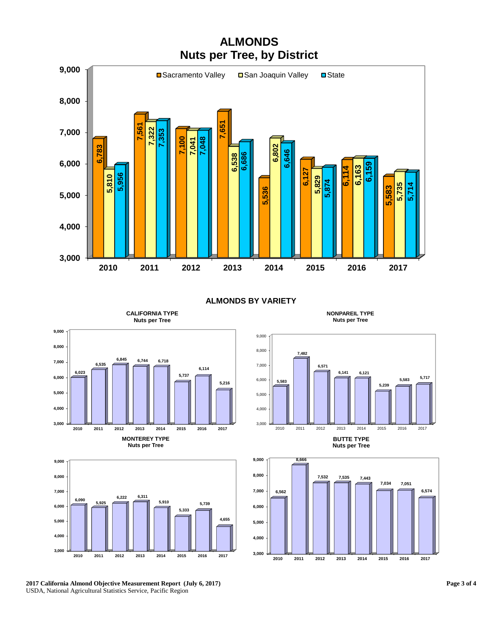

**ALMONDS BY VARIETY**



**CALIFORNIA TYPE** 









**BUTTE TYPE Nuts per Tree**



**NONPAREIL TYPE Nuts per Tree**